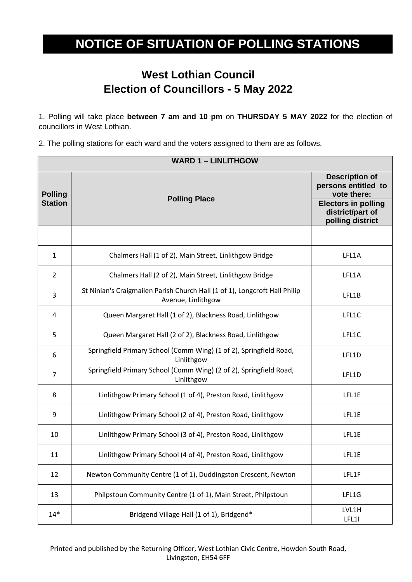## **NOTICE OF SITUATION OF POLLING STATIONS**

## **West Lothian Council Election of Councillors - 5 May 2022**

1. Polling will take place **between 7 am and 10 pm** on **THURSDAY 5 MAY 2022** for the election of councillors in West Lothian.

2. The polling stations for each ward and the voters assigned to them are as follows.

| <b>WARD 1 - LINLITHGOW</b>       |                                                                                                  |                                                                                                               |
|----------------------------------|--------------------------------------------------------------------------------------------------|---------------------------------------------------------------------------------------------------------------|
| <b>Polling</b><br><b>Station</b> | <b>Polling Place</b>                                                                             | <b>Description of</b><br>persons entitled to<br>vote there:<br><b>Electors in polling</b><br>district/part of |
|                                  |                                                                                                  | polling district                                                                                              |
| 1                                | Chalmers Hall (1 of 2), Main Street, Linlithgow Bridge                                           | LFL1A                                                                                                         |
| $\overline{2}$                   | Chalmers Hall (2 of 2), Main Street, Linlithgow Bridge                                           | LFL1A                                                                                                         |
| 3                                | St Ninian's Craigmailen Parish Church Hall (1 of 1), Longcroft Hall Philip<br>Avenue, Linlithgow | LFL1B                                                                                                         |
| 4                                | Queen Margaret Hall (1 of 2), Blackness Road, Linlithgow                                         | LFL1C                                                                                                         |
| 5                                | Queen Margaret Hall (2 of 2), Blackness Road, Linlithgow                                         | LFL1C                                                                                                         |
| 6                                | Springfield Primary School (Comm Wing) (1 of 2), Springfield Road,<br>Linlithgow                 | LFL1D                                                                                                         |
| $\overline{7}$                   | Springfield Primary School (Comm Wing) (2 of 2), Springfield Road,<br>Linlithgow                 | LFL1D                                                                                                         |
| 8                                | Linlithgow Primary School (1 of 4), Preston Road, Linlithgow                                     | LFL1E                                                                                                         |
| 9                                | Linlithgow Primary School (2 of 4), Preston Road, Linlithgow                                     | LFL1E                                                                                                         |
| 10                               | Linlithgow Primary School (3 of 4), Preston Road, Linlithgow                                     | LFL1E                                                                                                         |
| 11                               | Linlithgow Primary School (4 of 4), Preston Road, Linlithgow                                     | LFL1E                                                                                                         |
| 12                               | Newton Community Centre (1 of 1), Duddingston Crescent, Newton                                   | LFL1F                                                                                                         |
| 13                               | Philpstoun Community Centre (1 of 1), Main Street, Philpstoun                                    | LFL1G                                                                                                         |
| $14*$                            | Bridgend Village Hall (1 of 1), Bridgend*                                                        | LVL1H<br>LFL11                                                                                                |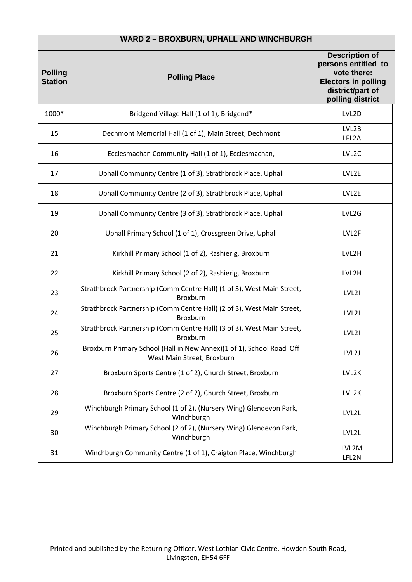| WARD 2 - BROXBURN, UPHALL AND WINCHBURGH |                                                                                                    |                                                                                                                                   |
|------------------------------------------|----------------------------------------------------------------------------------------------------|-----------------------------------------------------------------------------------------------------------------------------------|
| <b>Polling</b><br><b>Station</b>         | <b>Polling Place</b>                                                                               | <b>Description of</b><br>persons entitled to<br>vote there:<br><b>Electors in polling</b><br>district/part of<br>polling district |
| 1000*                                    | Bridgend Village Hall (1 of 1), Bridgend*                                                          | LVL2D                                                                                                                             |
| 15                                       | Dechmont Memorial Hall (1 of 1), Main Street, Dechmont                                             | LVL2B<br>LFL2A                                                                                                                    |
| 16                                       | Ecclesmachan Community Hall (1 of 1), Ecclesmachan,                                                | LVL <sub>2</sub> C                                                                                                                |
| 17                                       | Uphall Community Centre (1 of 3), Strathbrock Place, Uphall                                        | LVL2E                                                                                                                             |
| 18                                       | Uphall Community Centre (2 of 3), Strathbrock Place, Uphall                                        | LVL2E                                                                                                                             |
| 19                                       | Uphall Community Centre (3 of 3), Strathbrock Place, Uphall                                        | LVL2G                                                                                                                             |
| 20                                       | Uphall Primary School (1 of 1), Crossgreen Drive, Uphall                                           | LVL2F                                                                                                                             |
| 21                                       | Kirkhill Primary School (1 of 2), Rashierig, Broxburn                                              | LVL2H                                                                                                                             |
| 22                                       | Kirkhill Primary School (2 of 2), Rashierig, Broxburn                                              | LVL2H                                                                                                                             |
| 23                                       | Strathbrock Partnership (Comm Centre Hall) (1 of 3), West Main Street,<br>Broxburn                 | LVL <sub>21</sub>                                                                                                                 |
| 24                                       | Strathbrock Partnership (Comm Centre Hall) (2 of 3), West Main Street,<br>Broxburn                 | LVL2I                                                                                                                             |
| 25                                       | Strathbrock Partnership (Comm Centre Hall) (3 of 3), West Main Street,<br>Broxburn                 | LVL2I                                                                                                                             |
| 26                                       | Broxburn Primary School (Hall in New Annex)(1 of 1), School Road Off<br>West Main Street, Broxburn | LVL2J                                                                                                                             |
| 27                                       | Broxburn Sports Centre (1 of 2), Church Street, Broxburn                                           | LVL2K                                                                                                                             |
| 28                                       | Broxburn Sports Centre (2 of 2), Church Street, Broxburn                                           | LVL2K                                                                                                                             |
| 29                                       | Winchburgh Primary School (1 of 2), (Nursery Wing) Glendevon Park,<br>Winchburgh                   | LVL2L                                                                                                                             |
| 30                                       | Winchburgh Primary School (2 of 2), (Nursery Wing) Glendevon Park,<br>Winchburgh                   | LVL2L                                                                                                                             |
| 31                                       | Winchburgh Community Centre (1 of 1), Craigton Place, Winchburgh                                   | LVL2M<br>LFL2N                                                                                                                    |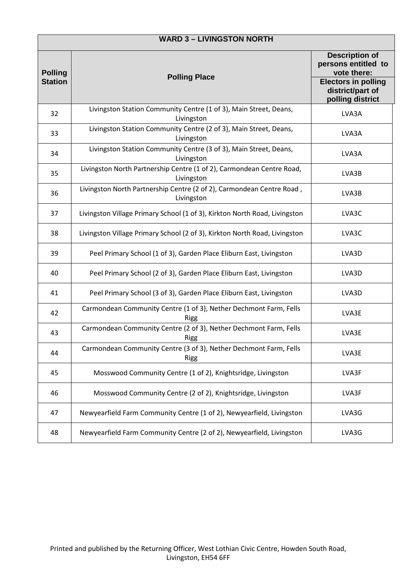| <b>WARD 3 - LIVINGSTON NORTH</b> |                                                                                     |                                                                                                                                   |
|----------------------------------|-------------------------------------------------------------------------------------|-----------------------------------------------------------------------------------------------------------------------------------|
| <b>Polling</b><br><b>Station</b> | <b>Polling Place</b>                                                                | <b>Description of</b><br>persons entitled to<br>vote there:<br><b>Electors in polling</b><br>district/part of<br>polling district |
| 32                               | Livingston Station Community Centre (1 of 3), Main Street, Deans,<br>Livingston     | LVA3A                                                                                                                             |
| 33                               | Livingston Station Community Centre (2 of 3), Main Street, Deans,<br>Livingston     | LVA3A                                                                                                                             |
| 34                               | Livingston Station Community Centre (3 of 3), Main Street, Deans,<br>Livingston     | LVA3A                                                                                                                             |
| 35                               | Livingston North Partnership Centre (1 of 2), Carmondean Centre Road,<br>Livingston | LVA3B                                                                                                                             |
| 36                               | Livingston North Partnership Centre (2 of 2), Carmondean Centre Road,<br>Livingston | LVA3B                                                                                                                             |
| 37                               | Livingston Village Primary School (1 of 3), Kirkton North Road, Livingston          | LVA3C                                                                                                                             |
| 38                               | Livingston Village Primary School (2 of 3), Kirkton North Road, Livingston          | LVA3C                                                                                                                             |
| 39                               | Peel Primary School (1 of 3), Garden Place Eliburn East, Livingston                 | LVA3D                                                                                                                             |
| 40                               | Peel Primary School (2 of 3), Garden Place Eliburn East, Livingston                 | LVA3D                                                                                                                             |
| 41                               | Peel Primary School (3 of 3), Garden Place Eliburn East, Livingston                 | LVA3D                                                                                                                             |
| 42                               | Carmondean Community Centre (1 of 3), Nether Dechmont Farm, Fells<br><b>Rigg</b>    | LVA3E                                                                                                                             |
| 43                               | Carmondean Community Centre (2 of 3), Nether Dechmont Farm, Fells<br><b>Rigg</b>    | LVA3E                                                                                                                             |
| 44                               | Carmondean Community Centre (3 of 3), Nether Dechmont Farm, Fells<br><b>Rigg</b>    | LVA3E                                                                                                                             |
| 45                               | Mosswood Community Centre (1 of 2), Knightsridge, Livingston                        | LVA3F                                                                                                                             |
| 46                               | Mosswood Community Centre (2 of 2), Knightsridge, Livingston                        | LVA3F                                                                                                                             |
| 47                               | Newyearfield Farm Community Centre (1 of 2), Newyearfield, Livingston               | LVA3G                                                                                                                             |
| 48                               | Newyearfield Farm Community Centre (2 of 2), Newyearfield, Livingston               | LVA3G                                                                                                                             |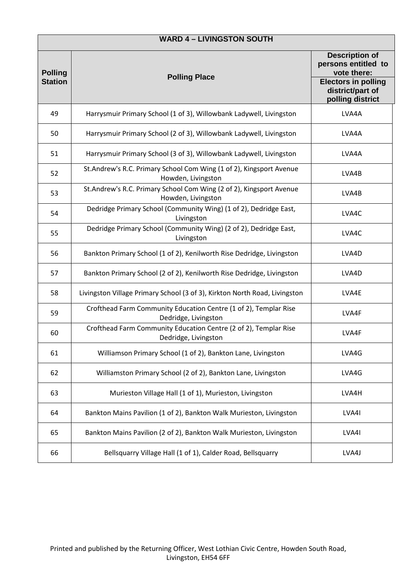| <b>WARD 4 - LIVINGSTON SOUTH</b> |                                                                                           |                                                                                                               |
|----------------------------------|-------------------------------------------------------------------------------------------|---------------------------------------------------------------------------------------------------------------|
| <b>Polling</b><br><b>Station</b> | <b>Polling Place</b>                                                                      | <b>Description of</b><br>persons entitled to<br>vote there:<br><b>Electors in polling</b><br>district/part of |
|                                  |                                                                                           | polling district                                                                                              |
| 49                               | Harrysmuir Primary School (1 of 3), Willowbank Ladywell, Livingston                       | LVA4A                                                                                                         |
| 50                               | Harrysmuir Primary School (2 of 3), Willowbank Ladywell, Livingston                       | LVA4A                                                                                                         |
| 51                               | Harrysmuir Primary School (3 of 3), Willowbank Ladywell, Livingston                       | LVA4A                                                                                                         |
| 52                               | St.Andrew's R.C. Primary School Com Wing (1 of 2), Kingsport Avenue<br>Howden, Livingston | LVA4B                                                                                                         |
| 53                               | St.Andrew's R.C. Primary School Com Wing (2 of 2), Kingsport Avenue<br>Howden, Livingston | LVA4B                                                                                                         |
| 54                               | Dedridge Primary School (Community Wing) (1 of 2), Dedridge East,<br>Livingston           | LVA4C                                                                                                         |
| 55                               | Dedridge Primary School (Community Wing) (2 of 2), Dedridge East,<br>Livingston           | LVA4C                                                                                                         |
| 56                               | Bankton Primary School (1 of 2), Kenilworth Rise Dedridge, Livingston                     | LVA4D                                                                                                         |
| 57                               | Bankton Primary School (2 of 2), Kenilworth Rise Dedridge, Livingston                     | LVA4D                                                                                                         |
| 58                               | Livingston Village Primary School (3 of 3), Kirkton North Road, Livingston                | LVA4E                                                                                                         |
| 59                               | Crofthead Farm Community Education Centre (1 of 2), Templar Rise<br>Dedridge, Livingston  | LVA4F                                                                                                         |
| 60                               | Crofthead Farm Community Education Centre (2 of 2), Templar Rise<br>Dedridge, Livingston  | LVA4F                                                                                                         |
| 61                               | Williamson Primary School (1 of 2), Bankton Lane, Livingston                              | LVA4G                                                                                                         |
| 62                               | Williamston Primary School (2 of 2), Bankton Lane, Livingston                             | LVA4G                                                                                                         |
| 63                               | Murieston Village Hall (1 of 1), Murieston, Livingston                                    | LVA4H                                                                                                         |
| 64                               | Bankton Mains Pavilion (1 of 2), Bankton Walk Murieston, Livingston                       | LVA4I                                                                                                         |
| 65                               | Bankton Mains Pavilion (2 of 2), Bankton Walk Murieston, Livingston                       | LVA4I                                                                                                         |
| 66                               | Bellsquarry Village Hall (1 of 1), Calder Road, Bellsquarry                               | LVA4J                                                                                                         |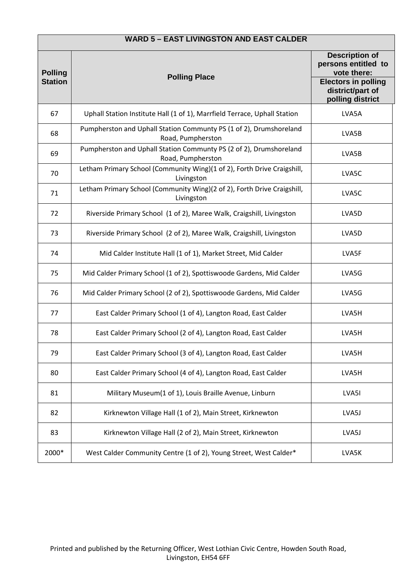| <b>WARD 5 - EAST LIVINGSTON AND EAST CALDER</b> |                                                                                         |                                                                                                                                   |
|-------------------------------------------------|-----------------------------------------------------------------------------------------|-----------------------------------------------------------------------------------------------------------------------------------|
| <b>Polling</b><br><b>Station</b>                | <b>Polling Place</b>                                                                    | <b>Description of</b><br>persons entitled to<br>vote there:<br><b>Electors in polling</b><br>district/part of<br>polling district |
| 67                                              | Uphall Station Institute Hall (1 of 1), Marrfield Terrace, Uphall Station               | LVA5A                                                                                                                             |
| 68                                              | Pumpherston and Uphall Station Communty PS (1 of 2), Drumshoreland<br>Road, Pumpherston | LVA5B                                                                                                                             |
| 69                                              | Pumpherston and Uphall Station Communty PS (2 of 2), Drumshoreland<br>Road, Pumpherston | LVA5B                                                                                                                             |
| 70                                              | Letham Primary School (Community Wing)(1 of 2), Forth Drive Craigshill,<br>Livingston   | LVA5C                                                                                                                             |
| 71                                              | Letham Primary School (Community Wing)(2 of 2), Forth Drive Craigshill,<br>Livingston   | LVA5C                                                                                                                             |
| 72                                              | Riverside Primary School (1 of 2), Maree Walk, Craigshill, Livingston                   | LVA5D                                                                                                                             |
| 73                                              | Riverside Primary School (2 of 2), Maree Walk, Craigshill, Livingston                   | LVA5D                                                                                                                             |
| 74                                              | Mid Calder Institute Hall (1 of 1), Market Street, Mid Calder                           | LVA5F                                                                                                                             |
| 75                                              | Mid Calder Primary School (1 of 2), Spottiswoode Gardens, Mid Calder                    | LVA5G                                                                                                                             |
| 76                                              | Mid Calder Primary School (2 of 2), Spottiswoode Gardens, Mid Calder                    | LVA5G                                                                                                                             |
| 77                                              | East Calder Primary School (1 of 4), Langton Road, East Calder                          | LVA5H                                                                                                                             |
| 78                                              | East Calder Primary School (2 of 4), Langton Road, East Calder                          | LVA5H                                                                                                                             |
| 79                                              | East Calder Primary School (3 of 4), Langton Road, East Calder                          | LVA5H                                                                                                                             |
| 80                                              | East Calder Primary School (4 of 4), Langton Road, East Calder                          | LVA5H                                                                                                                             |
| 81                                              | Military Museum(1 of 1), Louis Braille Avenue, Linburn                                  | LVA5I                                                                                                                             |
| 82                                              | Kirknewton Village Hall (1 of 2), Main Street, Kirknewton                               | LVA5J                                                                                                                             |
| 83                                              | Kirknewton Village Hall (2 of 2), Main Street, Kirknewton                               | LVA5J                                                                                                                             |
| 2000*                                           | West Calder Community Centre (1 of 2), Young Street, West Calder*                       | LVA5K                                                                                                                             |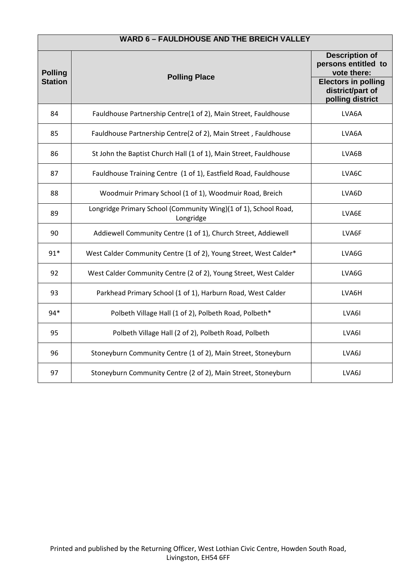| <b>WARD 6 - FAULDHOUSE AND THE BREICH VALLEY</b> |                                                                              |                                                                                                                                   |
|--------------------------------------------------|------------------------------------------------------------------------------|-----------------------------------------------------------------------------------------------------------------------------------|
| <b>Polling</b><br><b>Station</b>                 | <b>Polling Place</b>                                                         | <b>Description of</b><br>persons entitled to<br>vote there:<br><b>Electors in polling</b><br>district/part of<br>polling district |
| 84                                               | Fauldhouse Partnership Centre(1 of 2), Main Street, Fauldhouse               | LVA6A                                                                                                                             |
| 85                                               | Fauldhouse Partnership Centre(2 of 2), Main Street, Fauldhouse               | LVA6A                                                                                                                             |
| 86                                               | St John the Baptist Church Hall (1 of 1), Main Street, Fauldhouse            | LVA6B                                                                                                                             |
| 87                                               | Fauldhouse Training Centre (1 of 1), Eastfield Road, Fauldhouse              | LVA6C                                                                                                                             |
| 88                                               | Woodmuir Primary School (1 of 1), Woodmuir Road, Breich                      | LVA6D                                                                                                                             |
| 89                                               | Longridge Primary School (Community Wing)(1 of 1), School Road,<br>Longridge | LVA6E                                                                                                                             |
| 90                                               | Addiewell Community Centre (1 of 1), Church Street, Addiewell                | LVA6F                                                                                                                             |
| $91*$                                            | West Calder Community Centre (1 of 2), Young Street, West Calder*            | LVA6G                                                                                                                             |
| 92                                               | West Calder Community Centre (2 of 2), Young Street, West Calder             | LVA6G                                                                                                                             |
| 93                                               | Parkhead Primary School (1 of 1), Harburn Road, West Calder                  | LVA6H                                                                                                                             |
| 94*                                              | Polbeth Village Hall (1 of 2), Polbeth Road, Polbeth*                        | LVA6I                                                                                                                             |
| 95                                               | Polbeth Village Hall (2 of 2), Polbeth Road, Polbeth                         | LVA6I                                                                                                                             |
| 96                                               | Stoneyburn Community Centre (1 of 2), Main Street, Stoneyburn                | LVA6J                                                                                                                             |
| 97                                               | Stoneyburn Community Centre (2 of 2), Main Street, Stoneyburn                | LVA6J                                                                                                                             |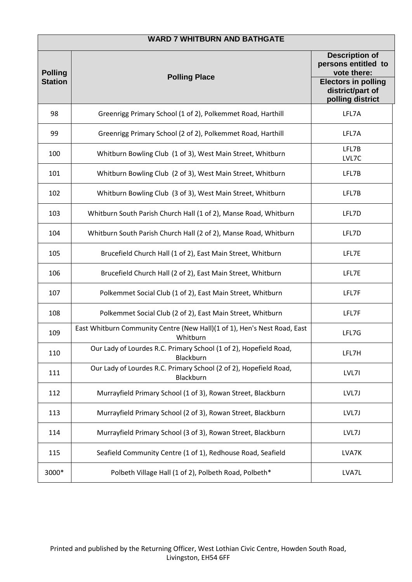| <b>WARD 7 WHITBURN AND BATHGATE</b> |                                                                                      |                                                                    |
|-------------------------------------|--------------------------------------------------------------------------------------|--------------------------------------------------------------------|
| <b>Polling</b>                      | <b>Polling Place</b>                                                                 | <b>Description of</b><br>persons entitled to<br>vote there:        |
| <b>Station</b>                      |                                                                                      | <b>Electors in polling</b><br>district/part of<br>polling district |
| 98                                  | Greenrigg Primary School (1 of 2), Polkemmet Road, Harthill                          | LFL7A                                                              |
| 99                                  | Greenrigg Primary School (2 of 2), Polkemmet Road, Harthill                          | LFL7A                                                              |
| 100                                 | Whitburn Bowling Club (1 of 3), West Main Street, Whitburn                           | LFL7B<br>LVL7C                                                     |
| 101                                 | Whitburn Bowling Club (2 of 3), West Main Street, Whitburn                           | LFL7B                                                              |
| 102                                 | Whitburn Bowling Club (3 of 3), West Main Street, Whitburn                           | LFL7B                                                              |
| 103                                 | Whitburn South Parish Church Hall (1 of 2), Manse Road, Whitburn                     | LFL7D                                                              |
| 104                                 | Whitburn South Parish Church Hall (2 of 2), Manse Road, Whitburn                     | LFL7D                                                              |
| 105                                 | Brucefield Church Hall (1 of 2), East Main Street, Whitburn                          | LFL7E                                                              |
| 106                                 | Brucefield Church Hall (2 of 2), East Main Street, Whitburn                          | LFL7E                                                              |
| 107                                 | Polkemmet Social Club (1 of 2), East Main Street, Whitburn                           | LFL7F                                                              |
| 108                                 | Polkemmet Social Club (2 of 2), East Main Street, Whitburn                           | LFL7F                                                              |
| 109                                 | East Whitburn Community Centre (New Hall)(1 of 1), Hen's Nest Road, East<br>Whitburn | LFL7G                                                              |
| 110                                 | Our Lady of Lourdes R.C. Primary School (1 of 2), Hopefield Road,<br>Blackburn       | LFL7H                                                              |
| 111                                 | Our Lady of Lourdes R.C. Primary School (2 of 2), Hopefield Road,<br>Blackburn       | LVL7I                                                              |
| 112                                 | Murrayfield Primary School (1 of 3), Rowan Street, Blackburn                         | LVL7J                                                              |
| 113                                 | Murrayfield Primary School (2 of 3), Rowan Street, Blackburn                         | LVL7J                                                              |
| 114                                 | Murrayfield Primary School (3 of 3), Rowan Street, Blackburn                         | LVL7J                                                              |
| 115                                 | Seafield Community Centre (1 of 1), Redhouse Road, Seafield                          | LVA7K                                                              |
| 3000*                               | Polbeth Village Hall (1 of 2), Polbeth Road, Polbeth*                                | LVA7L                                                              |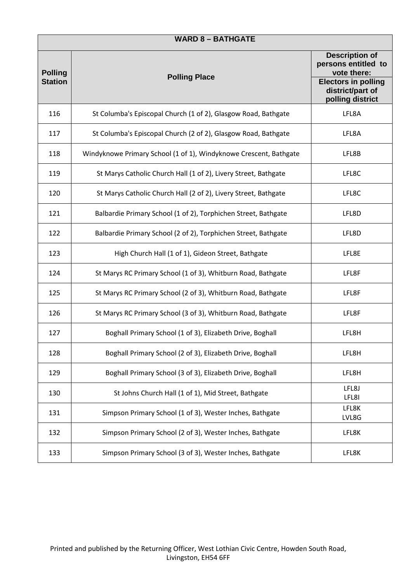| <b>WARD 8 - BATHGATE</b>         |                                                                   |                                                                                                                                   |
|----------------------------------|-------------------------------------------------------------------|-----------------------------------------------------------------------------------------------------------------------------------|
| <b>Polling</b><br><b>Station</b> | <b>Polling Place</b>                                              | <b>Description of</b><br>persons entitled to<br>vote there:<br><b>Electors in polling</b><br>district/part of<br>polling district |
| 116                              | St Columba's Episcopal Church (1 of 2), Glasgow Road, Bathgate    | LFL8A                                                                                                                             |
| 117                              | St Columba's Episcopal Church (2 of 2), Glasgow Road, Bathgate    | LFL8A                                                                                                                             |
| 118                              | Windyknowe Primary School (1 of 1), Windyknowe Crescent, Bathgate | LFL8B                                                                                                                             |
| 119                              | St Marys Catholic Church Hall (1 of 2), Livery Street, Bathgate   | LFL8C                                                                                                                             |
| 120                              | St Marys Catholic Church Hall (2 of 2), Livery Street, Bathgate   | LFL8C                                                                                                                             |
| 121                              | Balbardie Primary School (1 of 2), Torphichen Street, Bathgate    | LFL8D                                                                                                                             |
| 122                              | Balbardie Primary School (2 of 2), Torphichen Street, Bathgate    | LFL8D                                                                                                                             |
| 123                              | High Church Hall (1 of 1), Gideon Street, Bathgate                | LFL8E                                                                                                                             |
| 124                              | St Marys RC Primary School (1 of 3), Whitburn Road, Bathgate      | LFL8F                                                                                                                             |
| 125                              | St Marys RC Primary School (2 of 3), Whitburn Road, Bathgate      | LFL8F                                                                                                                             |
| 126                              | St Marys RC Primary School (3 of 3), Whitburn Road, Bathgate      | LFL8F                                                                                                                             |
| 127                              | Boghall Primary School (1 of 3), Elizabeth Drive, Boghall         | LFL8H                                                                                                                             |
| 128                              | Boghall Primary School (2 of 3), Elizabeth Drive, Boghall         | LFL8H                                                                                                                             |
| 129                              | Boghall Primary School (3 of 3), Elizabeth Drive, Boghall         | LFL8H                                                                                                                             |
| 130                              | St Johns Church Hall (1 of 1), Mid Street, Bathgate               | LFL8J<br>LFL8I                                                                                                                    |
| 131                              | Simpson Primary School (1 of 3), Wester Inches, Bathgate          | LFL8K<br>LVL8G                                                                                                                    |
| 132                              | Simpson Primary School (2 of 3), Wester Inches, Bathgate          | LFL8K                                                                                                                             |
| 133                              | Simpson Primary School (3 of 3), Wester Inches, Bathgate          | LFL8K                                                                                                                             |